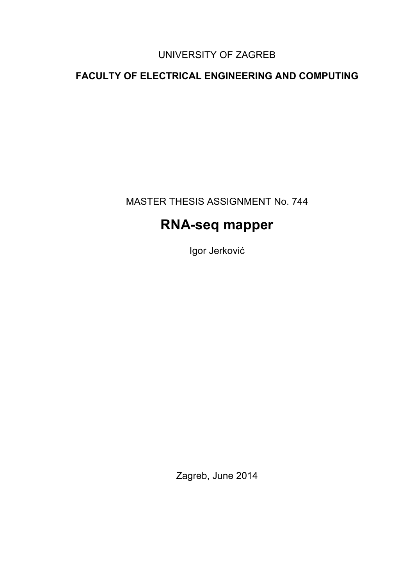### UNIVERSITY OF ZAGREB

### **FACULTY OF ELECTRICAL ENGINEERING AND COMPUTING**

MASTER THESIS ASSIGNMENT No. 744

# **RNA-seq mapper**

Igor Jerković

Zagreb, June 2014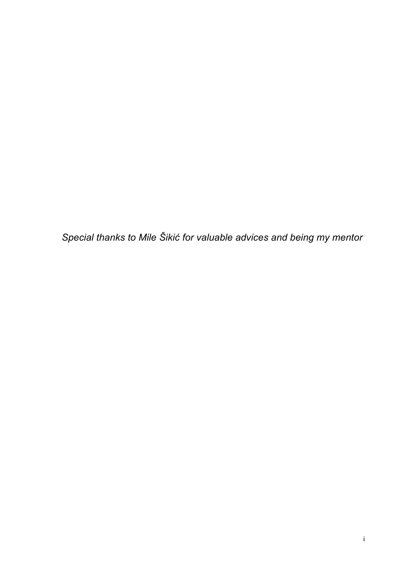*Special thanks to Mile Šikić for valuable advices and being my mentor*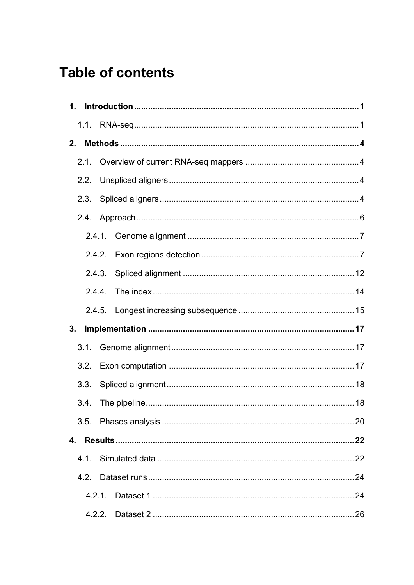# **Table of contents**

|                | 2.1. |        |  |
|----------------|------|--------|--|
|                | 2.2. |        |  |
|                |      |        |  |
|                |      |        |  |
|                |      |        |  |
|                |      |        |  |
|                |      |        |  |
|                |      | 2.4.4. |  |
|                |      |        |  |
| 3 <sub>1</sub> |      |        |  |
|                | 3.1. |        |  |
|                |      |        |  |
|                | 3.3. |        |  |
|                |      |        |  |
|                |      |        |  |
|                |      |        |  |
|                | 4.1. |        |  |
|                |      |        |  |
|                |      |        |  |
|                |      |        |  |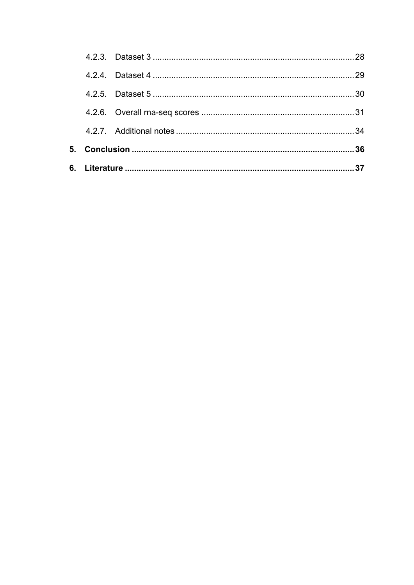|  |  | 34 |  |  |  |
|--|--|----|--|--|--|
|  |  |    |  |  |  |
|  |  |    |  |  |  |
|  |  | 29 |  |  |  |
|  |  | 28 |  |  |  |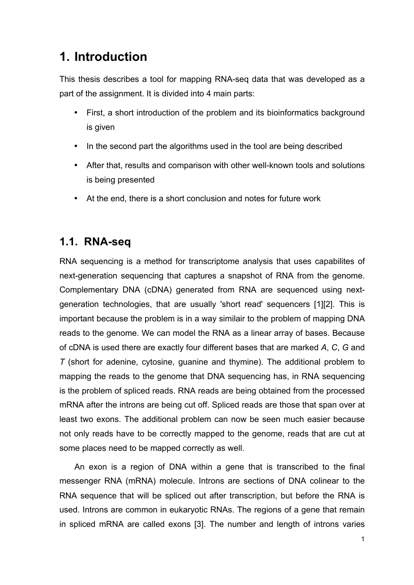# **1. Introduction**

This thesis describes a tool for mapping RNA-seq data that was developed as a part of the assignment. It is divided into 4 main parts:

- First, a short introduction of the problem and its bioinformatics background is given
- In the second part the algorithms used in the tool are being described
- After that, results and comparison with other well-known tools and solutions is being presented
- At the end, there is a short conclusion and notes for future work

### **1.1. RNA-seq**

RNA sequencing is a method for transcriptome analysis that uses capabilites of next-generation sequencing that captures a snapshot of RNA from the genome. Complementary DNA (cDNA) generated from RNA are sequenced using nextgeneration technologies, that are usually 'short read' sequencers [1][2]. This is important because the problem is in a way similair to the problem of mapping DNA reads to the genome. We can model the RNA as a linear array of bases. Because of cDNA is used there are exactly four different bases that are marked *A*, *C*, *G* and *T* (short for adenine, cytosine, guanine and thymine). The additional problem to mapping the reads to the genome that DNA sequencing has, in RNA sequencing is the problem of spliced reads. RNA reads are being obtained from the processed mRNA after the introns are being cut off. Spliced reads are those that span over at least two exons. The additional problem can now be seen much easier because not only reads have to be correctly mapped to the genome, reads that are cut at some places need to be mapped correctly as well.

An exon is a region of DNA within a gene that is transcribed to the final messenger RNA (mRNA) molecule. Introns are sections of DNA colinear to the RNA sequence that will be spliced out after transcription, but before the RNA is used. Introns are common in eukaryotic RNAs. The regions of a gene that remain in spliced mRNA are called exons [3]. The number and length of introns varies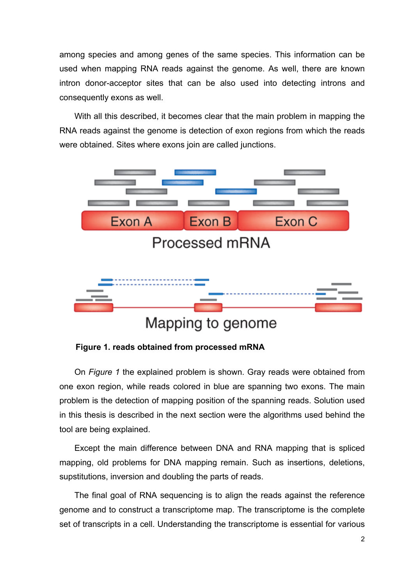among species and among genes of the same species. This information can be used when mapping RNA reads against the genome. As well, there are known intron donor-acceptor sites that can be also used into detecting introns and consequently exons as well.

With all this described, it becomes clear that the main problem in mapping the RNA reads against the genome is detection of exon regions from which the reads were obtained. Sites where exons join are called junctions.



Mapping to genome

**Figure 1. reads obtained from processed mRNA**

On *Figure 1* the explained problem is shown. Gray reads were obtained from one exon region, while reads colored in blue are spanning two exons. The main problem is the detection of mapping position of the spanning reads. Solution used in this thesis is described in the next section were the algorithms used behind the tool are being explained.

Except the main difference between DNA and RNA mapping that is spliced mapping, old problems for DNA mapping remain. Such as insertions, deletions, supstitutions, inversion and doubling the parts of reads.

The final goal of RNA sequencing is to align the reads against the reference genome and to construct a transcriptome map. The transcriptome is the complete set of transcripts in a cell. Understanding the transcriptome is essential for various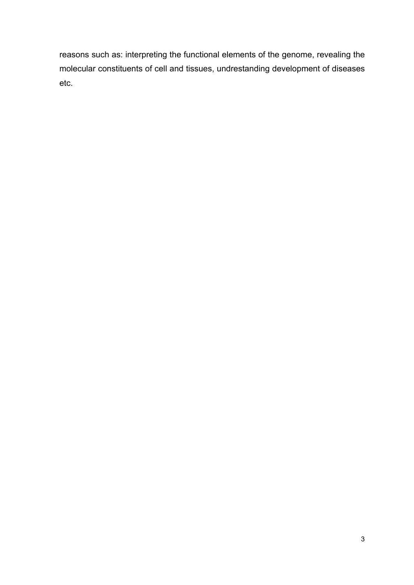reasons such as: interpreting the functional elements of the genome, revealing the molecular constituents of cell and tissues, undrestanding development of diseases etc.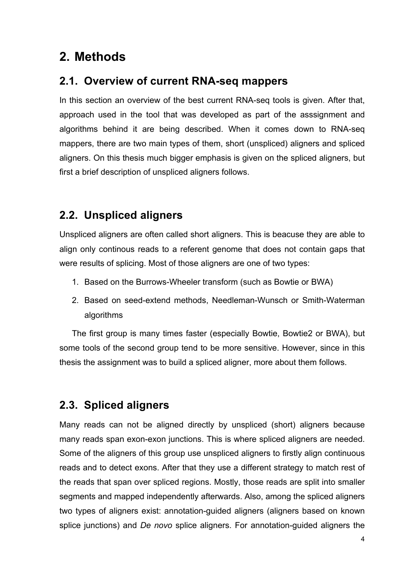# **2. Methods**

### **2.1. Overview of current RNA-seq mappers**

In this section an overview of the best current RNA-seq tools is given. After that, approach used in the tool that was developed as part of the asssignment and algorithms behind it are being described. When it comes down to RNA-seq mappers, there are two main types of them, short (unspliced) aligners and spliced aligners. On this thesis much bigger emphasis is given on the spliced aligners, but first a brief description of unspliced aligners follows.

# **2.2. Unspliced aligners**

Unspliced aligners are often called short aligners. This is beacuse they are able to align only continous reads to a referent genome that does not contain gaps that were results of splicing. Most of those aligners are one of two types:

- 1. Based on the Burrows-Wheeler transform (such as Bowtie or BWA)
- 2. Based on seed-extend methods, Needleman-Wunsch or Smith-Waterman algorithms

The first group is many times faster (especially Bowtie, Bowtie2 or BWA), but some tools of the second group tend to be more sensitive. However, since in this thesis the assignment was to build a spliced aligner, more about them follows.

# **2.3. Spliced aligners**

Many reads can not be aligned directly by unspliced (short) aligners because many reads span exon-exon junctions. This is where spliced aligners are needed. Some of the aligners of this group use unspliced aligners to firstly align continuous reads and to detect exons. After that they use a different strategy to match rest of the reads that span over spliced regions. Mostly, those reads are split into smaller segments and mapped independently afterwards. Also, among the spliced aligners two types of aligners exist: annotation-guided aligners (aligners based on known splice junctions) and *De novo* splice aligners. For annotation-guided aligners the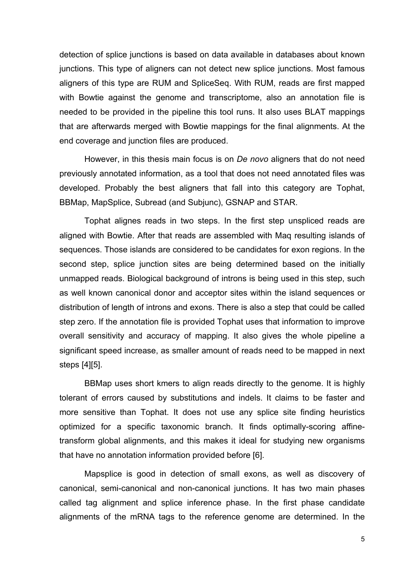detection of splice junctions is based on data available in databases about known junctions. This type of aligners can not detect new splice junctions. Most famous aligners of this type are RUM and SpliceSeq. With RUM, reads are first mapped with Bowtie against the genome and transcriptome, also an annotation file is needed to be provided in the pipeline this tool runs. It also uses BLAT mappings that are afterwards merged with Bowtie mappings for the final alignments. At the end coverage and junction files are produced.

However, in this thesis main focus is on *De novo* aligners that do not need previously annotated information, as a tool that does not need annotated files was developed. Probably the best aligners that fall into this category are Tophat, BBMap, MapSplice, Subread (and Subjunc), GSNAP and STAR.

Tophat alignes reads in two steps. In the first step unspliced reads are aligned with Bowtie. After that reads are assembled with Maq resulting islands of sequences. Those islands are considered to be candidates for exon regions. In the second step, splice junction sites are being determined based on the initially unmapped reads. Biological background of introns is being used in this step, such as well known canonical donor and acceptor sites within the island sequences or distribution of length of introns and exons. There is also a step that could be called step zero. If the annotation file is provided Tophat uses that information to improve overall sensitivity and accuracy of mapping. It also gives the whole pipeline a significant speed increase, as smaller amount of reads need to be mapped in next steps [4][5].

BBMap uses short kmers to align reads directly to the genome. It is highly tolerant of errors caused by substitutions and indels. It claims to be faster and more sensitive than Tophat. It does not use any splice site finding heuristics optimized for a specific taxonomic branch. It finds optimally-scoring affinetransform global alignments, and this makes it ideal for studying new organisms that have no annotation information provided before [6].

Mapsplice is good in detection of small exons, as well as discovery of canonical, semi-canonical and non-canonical junctions. It has two main phases called tag alignment and splice inference phase. In the first phase candidate alignments of the mRNA tags to the reference genome are determined. In the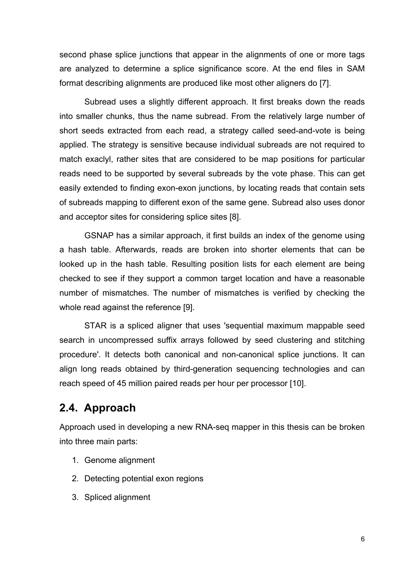second phase splice junctions that appear in the alignments of one or more tags are analyzed to determine a splice significance score. At the end files in SAM format describing alignments are produced like most other aligners do [7].

Subread uses a slightly different approach. It first breaks down the reads into smaller chunks, thus the name subread. From the relatively large number of short seeds extracted from each read, a strategy called seed-and-vote is being applied. The strategy is sensitive because individual subreads are not required to match exaclyl, rather sites that are considered to be map positions for particular reads need to be supported by several subreads by the vote phase. This can get easily extended to finding exon-exon junctions, by locating reads that contain sets of subreads mapping to different exon of the same gene. Subread also uses donor and acceptor sites for considering splice sites [8].

GSNAP has a similar approach, it first builds an index of the genome using a hash table. Afterwards, reads are broken into shorter elements that can be looked up in the hash table. Resulting position lists for each element are being checked to see if they support a common target location and have a reasonable number of mismatches. The number of mismatches is verified by checking the whole read against the reference [9].

STAR is a spliced aligner that uses 'sequential maximum mappable seed search in uncompressed suffix arrays followed by seed clustering and stitching procedure'. It detects both canonical and non-canonical splice junctions. It can align long reads obtained by third-generation sequencing technologies and can reach speed of 45 million paired reads per hour per processor [10].

#### **2.4. Approach**

Approach used in developing a new RNA-seq mapper in this thesis can be broken into three main parts:

- 1. Genome alignment
- 2. Detecting potential exon regions
- 3. Spliced alignment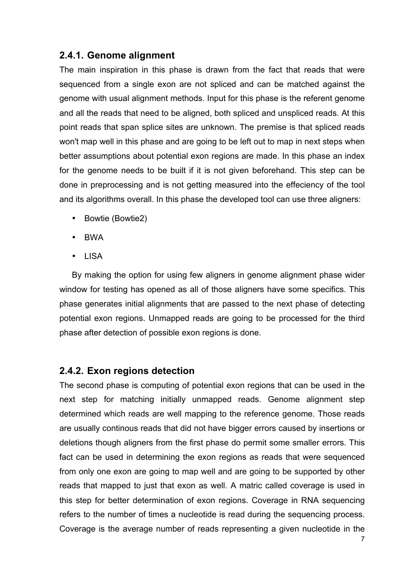#### **2.4.1. Genome alignment**

The main inspiration in this phase is drawn from the fact that reads that were sequenced from a single exon are not spliced and can be matched against the genome with usual alignment methods. Input for this phase is the referent genome and all the reads that need to be aligned, both spliced and unspliced reads. At this point reads that span splice sites are unknown. The premise is that spliced reads won't map well in this phase and are going to be left out to map in next steps when better assumptions about potential exon regions are made. In this phase an index for the genome needs to be built if it is not given beforehand. This step can be done in preprocessing and is not getting measured into the effeciency of the tool and its algorithms overall. In this phase the developed tool can use three aligners:

- Bowtie (Bowtie2)
- BWA
- LISA

By making the option for using few aligners in genome alignment phase wider window for testing has opened as all of those aligners have some specifics. This phase generates initial alignments that are passed to the next phase of detecting potential exon regions. Unmapped reads are going to be processed for the third phase after detection of possible exon regions is done.

#### **2.4.2. Exon regions detection**

The second phase is computing of potential exon regions that can be used in the next step for matching initially unmapped reads. Genome alignment step determined which reads are well mapping to the reference genome. Those reads are usually continous reads that did not have bigger errors caused by insertions or deletions though aligners from the first phase do permit some smaller errors. This fact can be used in determining the exon regions as reads that were sequenced from only one exon are going to map well and are going to be supported by other reads that mapped to just that exon as well. A matric called coverage is used in this step for better determination of exon regions. Coverage in RNA sequencing refers to the number of times a nucleotide is read during the sequencing process. Coverage is the average number of reads representing a given nucleotide in the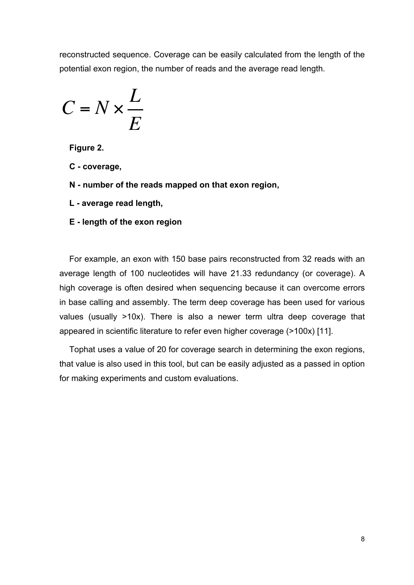reconstructed sequence. Coverage can be easily calculated from the length of the potential exon region, the number of reads and the average read length.

$$
C = N \times \frac{L}{E}
$$

**Figure 2.** 

- **C - coverage,**
- **N - number of the reads mapped on that exon region,**
- **L - average read length,**
- **E - length of the exon region**

For example, an exon with 150 base pairs reconstructed from 32 reads with an average length of 100 nucleotides will have 21.33 redundancy (or coverage). A high coverage is often desired when sequencing because it can overcome errors in base calling and assembly. The term deep coverage has been used for various values (usually >10x). There is also a newer term ultra deep coverage that appeared in scientific literature to refer even higher coverage (>100x) [11].

Tophat uses a value of 20 for coverage search in determining the exon regions, that value is also used in this tool, but can be easily adjusted as a passed in option for making experiments and custom evaluations.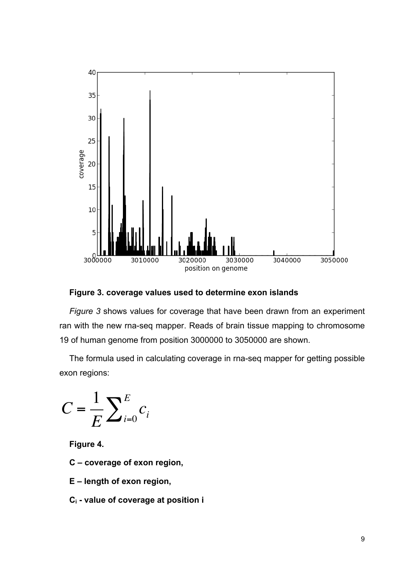

**Figure 3. coverage values used to determine exon islands**

*Figure 3* shows values for coverage that have been drawn from an experiment ran with the new rna-seq mapper. Reads of brain tissue mapping to chromosome 19 of human genome from position 3000000 to 3050000 are shown.

The formula used in calculating coverage in rna-seq mapper for getting possible exon regions:

$$
C = \frac{1}{E} \sum_{i=0}^{E} c_i
$$

**Figure 4.** 

- **C – coverage of exon region,**
- **E – length of exon region,**
- **Ci - value of coverage at position i**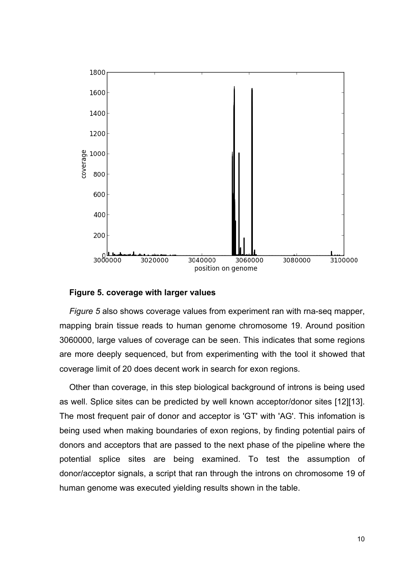

#### **Figure 5. coverage with larger values**

*Figure 5* also shows coverage values from experiment ran with rna-seq mapper, mapping brain tissue reads to human genome chromosome 19. Around position 3060000, large values of coverage can be seen. This indicates that some regions are more deeply sequenced, but from experimenting with the tool it showed that coverage limit of 20 does decent work in search for exon regions.

Other than coverage, in this step biological background of introns is being used as well. Splice sites can be predicted by well known acceptor/donor sites [12][13]. The most frequent pair of donor and acceptor is 'GT' with 'AG'. This infomation is being used when making boundaries of exon regions, by finding potential pairs of donors and acceptors that are passed to the next phase of the pipeline where the potential splice sites are being examined. To test the assumption of donor/acceptor signals, a script that ran through the introns on chromosome 19 of human genome was executed yielding results shown in the table.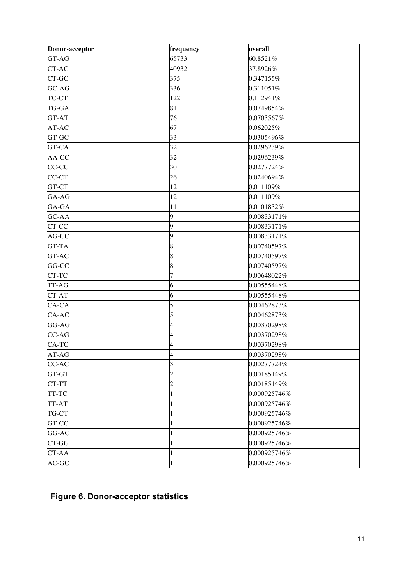| Donor-acceptor | frequency      | overall      |
|----------------|----------------|--------------|
| GT-AG          | 65733          | 60.8521%     |
| CT-AC          | 40932          | 37.8926%     |
| CT-GC          | 375            | 0.347155%    |
| GC-AG          | 336            | 0.311051%    |
| TC-CT          | 122            | 0.112941%    |
| TG-GA          | 81             | 0.0749854%   |
| GT-AT          | 76             | 0.0703567%   |
| AT-AC          | 67             | 0.062025%    |
| GT-GC          | 33             | 0.0305496%   |
| GT-CA          | 32             | 0.0296239%   |
| AA-CC          | 32             | 0.0296239%   |
| CC-CC          | 30             | 0.0277724%   |
| CC-CT          | 26             | 0.0240694%   |
| GT-CT          | 12             | 0.011109%    |
| GA-AG          | 12             | 0.011109%    |
| GA-GA          | 11             | 0.0101832%   |
| GC-AA          | 9              | 0.00833171%  |
| CT-CC          | 9              | 0.00833171%  |
| AG-CC          | 9              | 0.00833171%  |
| GT-TA          | 8              | 0.00740597%  |
| GT-AC          | 8              | 0.00740597%  |
| GG-CC          | 8              | 0.00740597%  |
| CT-TC          | 7              | 0.00648022%  |
| TT-AG          | 6              | 0.00555448%  |
| CT-AT          | 6              | 0.00555448%  |
| CA-CA          | 5              | 0.00462873%  |
| CA-AC          | 5              | 0.00462873%  |
| GG-AG          | 4              | 0.00370298%  |
| CC-AG          | 4              | 0.00370298%  |
| CA-TC          | 4              | 0.00370298%  |
| AT-AG          |                | 0.00370298%  |
| CC-AC          | 3              | 0.00277724%  |
| GT-GT          | $\overline{2}$ | 0.00185149%  |
| CT-TT          | $\overline{c}$ | 0.00185149%  |
| TT-TC          |                | 0.000925746% |
| TT-AT          |                | 0.000925746% |
| TG-CT          |                | 0.000925746% |
| GT-CC          |                | 0.000925746% |
| GG-AC          |                | 0.000925746% |
| CT-GG          |                | 0.000925746% |
| CT-AA          |                | 0.000925746% |
| AC-GC          |                | 0.000925746% |

### **Figure 6. Donor-acceptor statistics**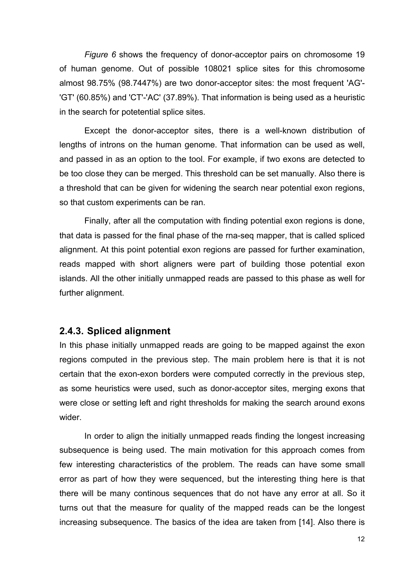*Figure 6* shows the frequency of donor-acceptor pairs on chromosome 19 of human genome. Out of possible 108021 splice sites for this chromosome almost 98.75% (98.7447%) are two donor-acceptor sites: the most frequent 'AG'- 'GT' (60.85%) and 'CT'-'AC' (37.89%). That information is being used as a heuristic in the search for potetential splice sites.

Except the donor-acceptor sites, there is a well-known distribution of lengths of introns on the human genome. That information can be used as well, and passed in as an option to the tool. For example, if two exons are detected to be too close they can be merged. This threshold can be set manually. Also there is a threshold that can be given for widening the search near potential exon regions, so that custom experiments can be ran.

Finally, after all the computation with finding potential exon regions is done, that data is passed for the final phase of the rna-seq mapper, that is called spliced alignment. At this point potential exon regions are passed for further examination, reads mapped with short aligners were part of building those potential exon islands. All the other initially unmapped reads are passed to this phase as well for further alignment.

#### **2.4.3. Spliced alignment**

In this phase initially unmapped reads are going to be mapped against the exon regions computed in the previous step. The main problem here is that it is not certain that the exon-exon borders were computed correctly in the previous step, as some heuristics were used, such as donor-acceptor sites, merging exons that were close or setting left and right thresholds for making the search around exons wider.

In order to align the initially unmapped reads finding the longest increasing subsequence is being used. The main motivation for this approach comes from few interesting characteristics of the problem. The reads can have some small error as part of how they were sequenced, but the interesting thing here is that there will be many continous sequences that do not have any error at all. So it turns out that the measure for quality of the mapped reads can be the longest increasing subsequence. The basics of the idea are taken from [14]. Also there is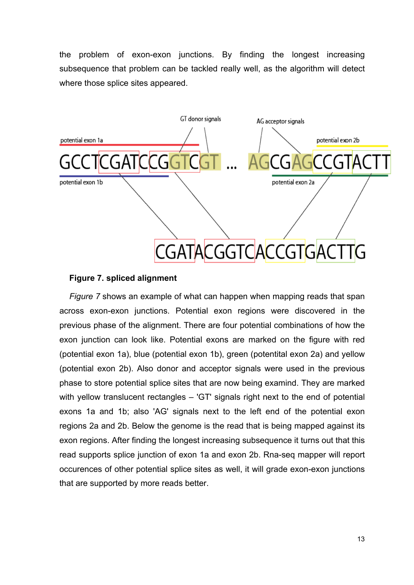the problem of exon-exon junctions. By finding the longest increasing subsequence that problem can be tackled really well, as the algorithm will detect where those splice sites appeared.



#### **Figure 7. spliced alignment**

*Figure 7* shows an example of what can happen when mapping reads that span across exon-exon junctions. Potential exon regions were discovered in the previous phase of the alignment. There are four potential combinations of how the exon junction can look like. Potential exons are marked on the figure with red (potential exon 1a), blue (potential exon 1b), green (potentital exon 2a) and yellow (potential exon 2b). Also donor and acceptor signals were used in the previous phase to store potential splice sites that are now being examind. They are marked with yellow translucent rectangles – 'GT' signals right next to the end of potential exons 1a and 1b; also 'AG' signals next to the left end of the potential exon regions 2a and 2b. Below the genome is the read that is being mapped against its exon regions. After finding the longest increasing subsequence it turns out that this read supports splice junction of exon 1a and exon 2b. Rna-seq mapper will report occurences of other potential splice sites as well, it will grade exon-exon junctions that are supported by more reads better.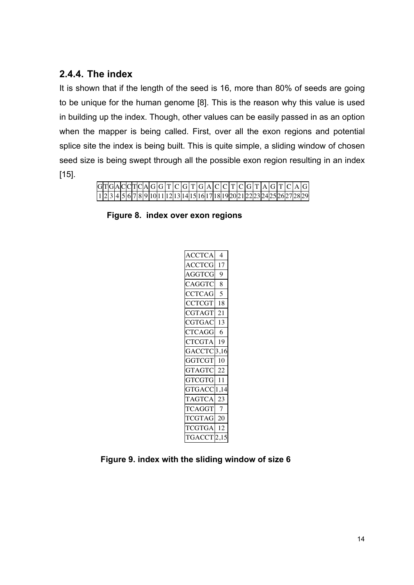#### **2.4.4. The index**

It is shown that if the length of the seed is 16, more than 80% of seeds are going to be unique for the human genome [8]. This is the reason why this value is used in building up the index. Though, other values can be easily passed in as an option when the mapper is being called. First, over all the exon regions and potential splice site the index is being built. This is quite simple, a sliding window of chosen seed size is being swept through all the possible exon region resulting in an index [15].

|  |  |  |  |  |  |  |  |  |  |  |  |  |  | $ G T G A C C T C A G T C G T G A C C T C G T A G T C A G $                       |
|--|--|--|--|--|--|--|--|--|--|--|--|--|--|-----------------------------------------------------------------------------------|
|  |  |  |  |  |  |  |  |  |  |  |  |  |  | $[1 2 3 4 5 6 7 8 9 10 11 12 13 14 15 16 17 18 19 20 21 22 23 24 25 26 27 28 29]$ |

**Figure 8. index over exon regions**

| <b>ACCTCA</b>          | $\overline{4}$ |
|------------------------|----------------|
| <b>ACCTCG</b>          | 17             |
| AGGTCG                 | $\mathbf Q$    |
| CAGGTC                 | 8              |
| <b>CCTCAG</b>          | 5              |
| <b>CCTCGT</b>          | 18             |
| CGTAGT                 | 21             |
| CGTGAC                 | 13             |
| <b>CTCAGG</b>          | - 6            |
| <b>CTCGTA</b>          | 19             |
|                        |                |
| <b>GACCTC</b>          | 3,16           |
| <b>GGTCGT</b>          | 10             |
| GTAGTC                 | -22            |
| GTCGTG 11              |                |
| GTGACC <sup>1,14</sup> |                |
| TAGTCA                 | 23             |
| TCAGGT                 | $\overline{7}$ |
| <b>TCGTAG</b>          | 20             |
| <b>TCGTGA</b>          | 12             |
| <b>TGACCT</b>          | 2,15           |

**Figure 9. index with the sliding window of size 6**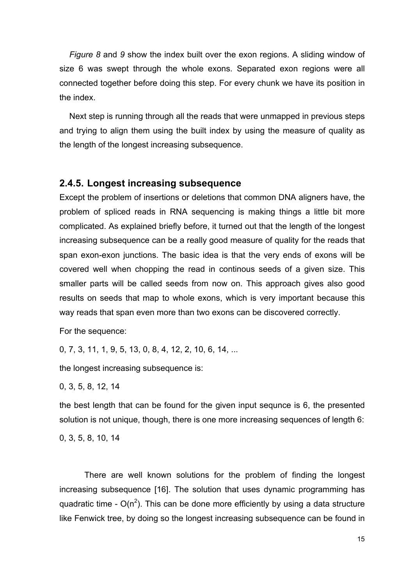*Figure 8* and *9* show the index built over the exon regions. A sliding window of size 6 was swept through the whole exons. Separated exon regions were all connected together before doing this step. For every chunk we have its position in the index.

Next step is running through all the reads that were unmapped in previous steps and trying to align them using the built index by using the measure of quality as the length of the longest increasing subsequence.

#### **2.4.5. Longest increasing subsequence**

Except the problem of insertions or deletions that common DNA aligners have, the problem of spliced reads in RNA sequencing is making things a little bit more complicated. As explained briefly before, it turned out that the length of the longest increasing subsequence can be a really good measure of quality for the reads that span exon-exon junctions. The basic idea is that the very ends of exons will be covered well when chopping the read in continous seeds of a given size. This smaller parts will be called seeds from now on. This approach gives also good results on seeds that map to whole exons, which is very important because this way reads that span even more than two exons can be discovered correctly.

For the sequence:

0, 7, 3, 11, 1, 9, 5, 13, 0, 8, 4, 12, 2, 10, 6, 14, ...

the longest increasing subsequence is:

0, 3, 5, 8, 12, 14

the best length that can be found for the given input sequnce is 6, the presented solution is not unique, though, there is one more increasing sequences of length 6:

0, 3, 5, 8, 10, 14

There are well known solutions for the problem of finding the longest increasing subsequence [16]. The solution that uses dynamic programming has quadratic time -  $O(n^2)$ . This can be done more efficiently by using a data structure like Fenwick tree, by doing so the longest increasing subsequence can be found in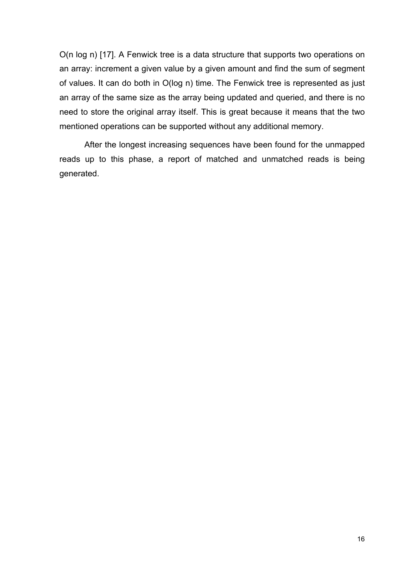O(n log n) [17]. A Fenwick tree is a data structure that supports two operations on an array: increment a given value by a given amount and find the sum of segment of values. It can do both in O(log n) time. The Fenwick tree is represented as just an array of the same size as the array being updated and queried, and there is no need to store the original array itself. This is great because it means that the two mentioned operations can be supported without any additional memory.

After the longest increasing sequences have been found for the unmapped reads up to this phase, a report of matched and unmatched reads is being generated.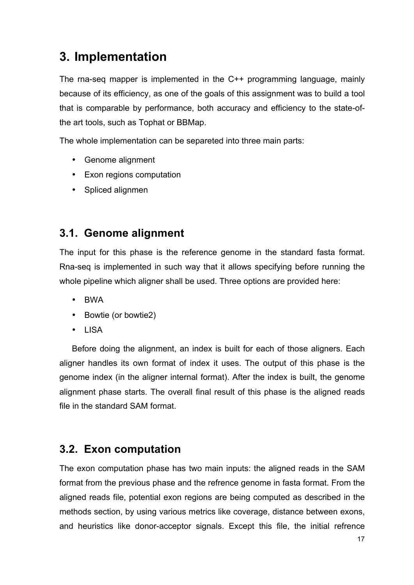# **3. Implementation**

The rna-seq mapper is implemented in the C++ programming language, mainly because of its efficiency, as one of the goals of this assignment was to build a tool that is comparable by performance, both accuracy and efficiency to the state-ofthe art tools, such as Tophat or BBMap.

The whole implementation can be separeted into three main parts:

- Genome alignment
- Exon regions computation
- Spliced alignmen

### **3.1. Genome alignment**

The input for this phase is the reference genome in the standard fasta format. Rna-seq is implemented in such way that it allows specifying before running the whole pipeline which aligner shall be used. Three options are provided here:

- BWA
- Bowtie (or bowtie2)
- LISA

Before doing the alignment, an index is built for each of those aligners. Each aligner handles its own format of index it uses. The output of this phase is the genome index (in the aligner internal format). After the index is built, the genome alignment phase starts. The overall final result of this phase is the aligned reads file in the standard SAM format.

#### **3.2. Exon computation**

The exon computation phase has two main inputs: the aligned reads in the SAM format from the previous phase and the refrence genome in fasta format. From the aligned reads file, potential exon regions are being computed as described in the methods section, by using various metrics like coverage, distance between exons, and heuristics like donor-acceptor signals. Except this file, the initial refrence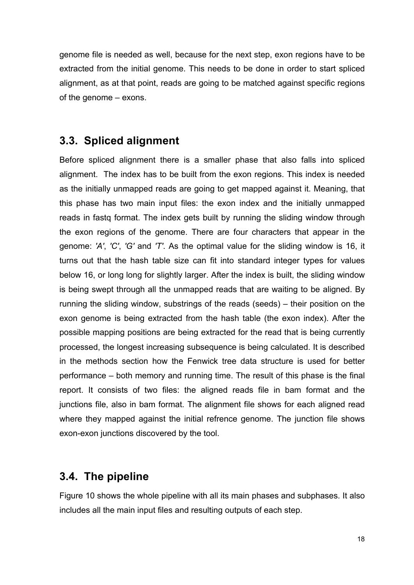genome file is needed as well, because for the next step, exon regions have to be extracted from the initial genome. This needs to be done in order to start spliced alignment, as at that point, reads are going to be matched against specific regions of the genome – exons.

### **3.3. Spliced alignment**

Before spliced alignment there is a smaller phase that also falls into spliced alignment. The index has to be built from the exon regions. This index is needed as the initially unmapped reads are going to get mapped against it. Meaning, that this phase has two main input files: the exon index and the initially unmapped reads in fastq format. The index gets built by running the sliding window through the exon regions of the genome. There are four characters that appear in the genome: *'A'*, *'C'*, *'G'* and *'T'*. As the optimal value for the sliding window is 16, it turns out that the hash table size can fit into standard integer types for values below 16, or long long for slightly larger. After the index is built, the sliding window is being swept through all the unmapped reads that are waiting to be aligned. By running the sliding window, substrings of the reads (seeds) – their position on the exon genome is being extracted from the hash table (the exon index). After the possible mapping positions are being extracted for the read that is being currently processed, the longest increasing subsequence is being calculated. It is described in the methods section how the Fenwick tree data structure is used for better performance – both memory and running time. The result of this phase is the final report. It consists of two files: the aligned reads file in bam format and the junctions file, also in bam format. The alignment file shows for each aligned read where they mapped against the initial refrence genome. The junction file shows exon-exon junctions discovered by the tool.

### **3.4. The pipeline**

Figure 10 shows the whole pipeline with all its main phases and subphases. It also includes all the main input files and resulting outputs of each step.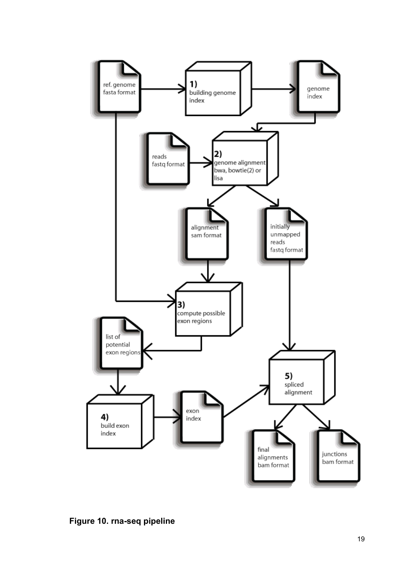

**Figure 10. rna -seq pipeline**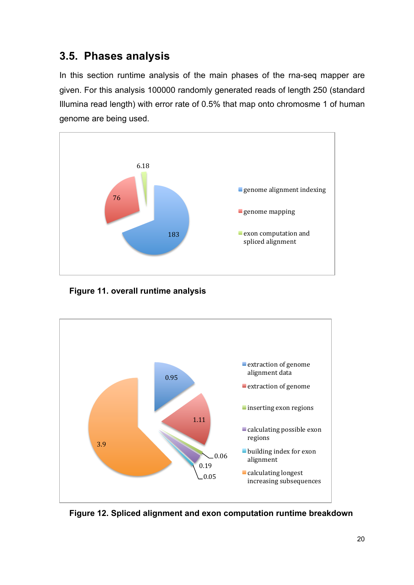### **3.5. Phases analysis**

In this section runtime analysis of the main phases of the rna-seq mapper are given. For this analysis 100000 randomly generated reads of length 250 (standard Illumina read length) with error rate of 0.5% that map onto chromosme 1 of human genome are being used.



**Figure 11. overall runtime analysis**



**Figure 12. Spliced alignment and exon computation runtime breakdown**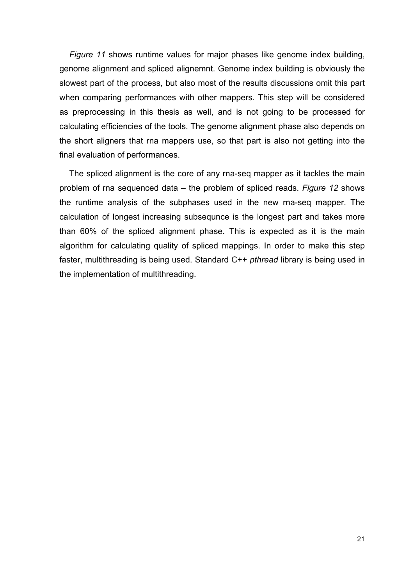*Figure 11* shows runtime values for major phases like genome index building, genome alignment and spliced alignemnt. Genome index building is obviously the slowest part of the process, but also most of the results discussions omit this part when comparing performances with other mappers. This step will be considered as preprocessing in this thesis as well, and is not going to be processed for calculating efficiencies of the tools. The genome alignment phase also depends on the short aligners that rna mappers use, so that part is also not getting into the final evaluation of performances.

The spliced alignment is the core of any rna-seq mapper as it tackles the main problem of rna sequenced data – the problem of spliced reads. *Figure 12* shows the runtime analysis of the subphases used in the new rna-seq mapper. The calculation of longest increasing subsequnce is the longest part and takes more than 60% of the spliced alignment phase. This is expected as it is the main algorithm for calculating quality of spliced mappings. In order to make this step faster, multithreading is being used. Standard C++ *pthread* library is being used in the implementation of multithreading.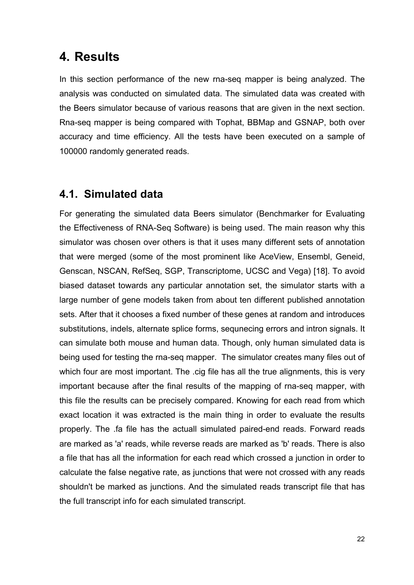### **4. Results**

In this section performance of the new rna-seq mapper is being analyzed. The analysis was conducted on simulated data. The simulated data was created with the Beers simulator because of various reasons that are given in the next section. Rna-seq mapper is being compared with Tophat, BBMap and GSNAP, both over accuracy and time efficiency. All the tests have been executed on a sample of 100000 randomly generated reads.

#### **4.1. Simulated data**

For generating the simulated data Beers simulator (Benchmarker for Evaluating the Effectiveness of RNA-Seq Software) is being used. The main reason why this simulator was chosen over others is that it uses many different sets of annotation that were merged (some of the most prominent like AceView, Ensembl, Geneid, Genscan, NSCAN, RefSeq, SGP, Transcriptome, UCSC and Vega) [18]. To avoid biased dataset towards any particular annotation set, the simulator starts with a large number of gene models taken from about ten different published annotation sets. After that it chooses a fixed number of these genes at random and introduces substitutions, indels, alternate splice forms, sequnecing errors and intron signals. It can simulate both mouse and human data. Though, only human simulated data is being used for testing the rna-seq mapper. The simulator creates many files out of which four are most important. The .cig file has all the true alignments, this is very important because after the final results of the mapping of rna-seq mapper, with this file the results can be precisely compared. Knowing for each read from which exact location it was extracted is the main thing in order to evaluate the results properly. The .fa file has the actuall simulated paired-end reads. Forward reads are marked as 'a' reads, while reverse reads are marked as 'b' reads. There is also a file that has all the information for each read which crossed a junction in order to calculate the false negative rate, as junctions that were not crossed with any reads shouldn't be marked as junctions. And the simulated reads transcript file that has the full transcript info for each simulated transcript.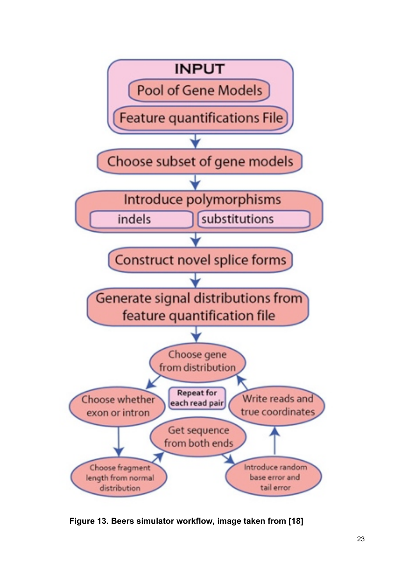

**Figure 13. Beers simulator workflow, image taken from [18]**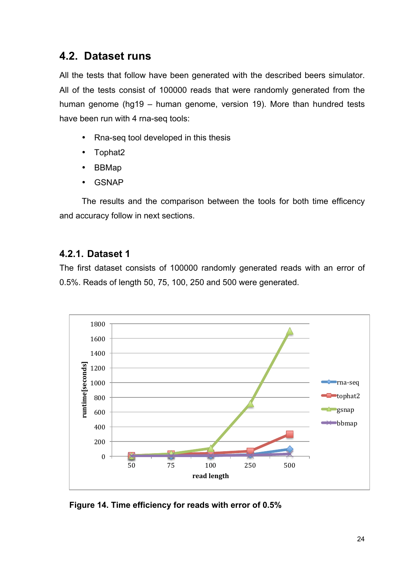### **4.2. Dataset runs**

All the tests that follow have been generated with the described beers simulator. All of the tests consist of 100000 reads that were randomly generated from the human genome (hg19 – human genome, version 19). More than hundred tests have been run with 4 rna-seq tools:

- Rna-seq tool developed in this thesis
- Tophat2
- BBMap
- **GSNAP**

The results and the comparison between the tools for both time efficency and accuracy follow in next sections.

#### **4.2.1. Dataset 1**

The first dataset consists of 100000 randomly generated reads with an error of 0.5%. Reads of length 50, 75, 100, 250 and 500 were generated.



**Figure 14. Time efficiency for reads with error of 0.5%**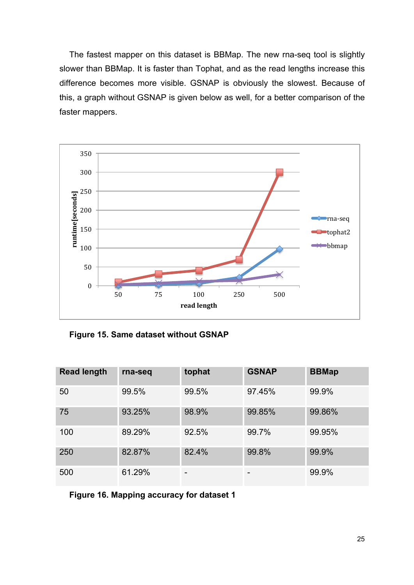The fastest mapper on this dataset is BBMap. The new rna-seq tool is slightly slower than BBMap. It is faster than Tophat, and as the read lengths increase this difference becomes more visible. GSNAP is obviously the slowest. Because of this, a graph without GSNAP is given below as well, for a better comparison of the faster mappers.



**Figure 15. Same dataset without GSNAP**

| <b>Read length</b> | rna-seq | tophat | <b>GSNAP</b> | <b>BBMap</b> |
|--------------------|---------|--------|--------------|--------------|
| 50                 | 99.5%   | 99.5%  | 97.45%       | 99.9%        |
| 75                 | 93.25%  | 98.9%  | 99.85%       | 99.86%       |
| 100                | 89.29%  | 92.5%  | 99.7%        | 99.95%       |
| 250                | 82.87%  | 82.4%  | 99.8%        | 99.9%        |
| 500                | 61.29%  | -      | -            | 99.9%        |

**Figure 16. Mapping accuracy for dataset 1**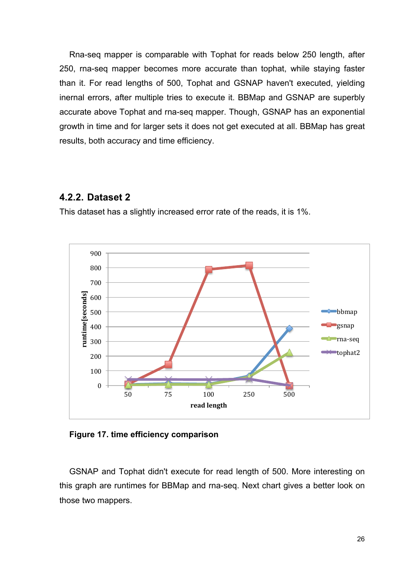Rna-seq mapper is comparable with Tophat for reads below 250 length, after 250, rna-seq mapper becomes more accurate than tophat, while staying faster than it. For read lengths of 500, Tophat and GSNAP haven't executed, yielding inernal errors, after multiple tries to execute it. BBMap and GSNAP are superbly accurate above Tophat and rna-seq mapper. Though, GSNAP has an exponential growth in time and for larger sets it does not get executed at all. BBMap has great results, both accuracy and time efficiency.

#### **4.2.2. Dataset 2**

This dataset has a slightly increased error rate of the reads, it is 1%.



**Figure 17. time efficiency comparison**

GSNAP and Tophat didn't execute for read length of 500. More interesting on this graph are runtimes for BBMap and rna-seq. Next chart gives a better look on those two mappers.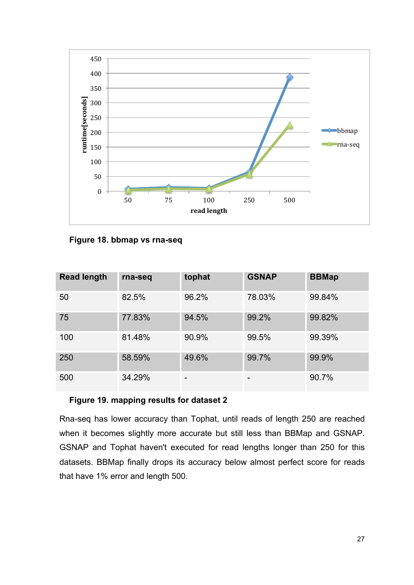

**Figure 18. bbmap vs rna-seq**

| <b>Read length</b> | rna-seq | tophat | <b>GSNAP</b> | <b>BBMap</b> |
|--------------------|---------|--------|--------------|--------------|
| 50                 | 82.5%   | 96.2%  | 78.03%       | 99.84%       |
| 75                 | 77.83%  | 94.5%  | 99.2%        | 99.82%       |
| 100                | 81.48%  | 90.9%  | 99.5%        | 99.39%       |
| 250                | 58.59%  | 49.6%  | 99.7%        | 99.9%        |
| 500                | 34.29%  | -      | -            | 90.7%        |

#### **Figure 19. mapping results for dataset 2**

Rna-seq has lower accuracy than Tophat, until reads of length 250 are reached when it becomes slightly more accurate but still less than BBMap and GSNAP. GSNAP and Tophat haven't executed for read lengths longer than 250 for this datasets. BBMap finally drops its accuracy below almost perfect score for reads that have 1% error and length 500.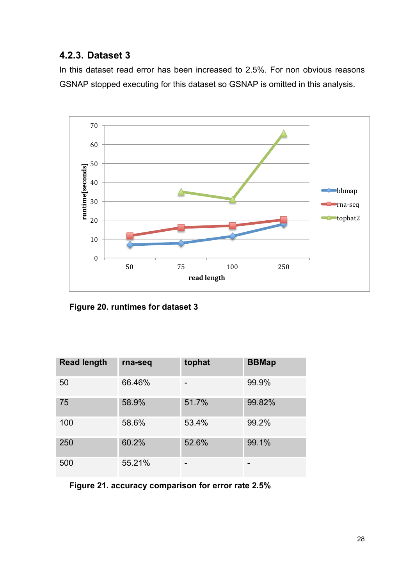#### **4.2.3. Dataset 3**

In this dataset read error has been increased to 2.5%. For non obvious reasons GSNAP stopped executing for this dataset so GSNAP is omitted in this analysis.



**Figure 20. runtimes for dataset 3**

| <b>Read length</b> | rna-seq | tophat | <b>BBMap</b> |
|--------------------|---------|--------|--------------|
| 50                 | 66.46%  |        | 99.9%        |
| 75                 | 58.9%   | 51.7%  | 99.82%       |
| 100                | 58.6%   | 53.4%  | 99.2%        |
| 250                | 60.2%   | 52.6%  | 99.1%        |
| 500                | 55.21%  |        |              |

**Figure 21. accuracy comparison for error rate 2.5%**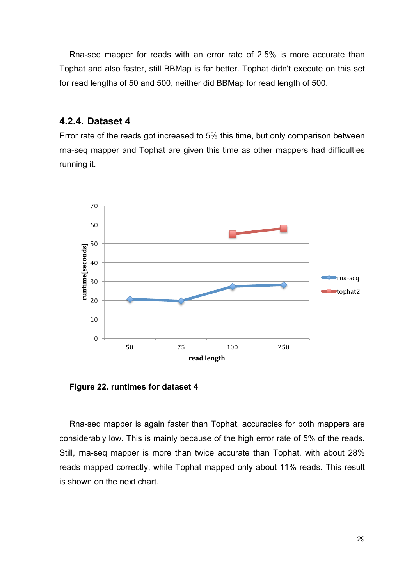Rna-seq mapper for reads with an error rate of 2.5% is more accurate than Tophat and also faster, still BBMap is far better. Tophat didn't execute on this set for read lengths of 50 and 500, neither did BBMap for read length of 500.

#### **4.2.4. Dataset 4**

Error rate of the reads got increased to 5% this time, but only comparison between rna-seq mapper and Tophat are given this time as other mappers had difficulties running it.



**Figure 22. runtimes for dataset 4**

Rna-seq mapper is again faster than Tophat, accuracies for both mappers are considerably low. This is mainly because of the high error rate of 5% of the reads. Still, rna-seq mapper is more than twice accurate than Tophat, with about 28% reads mapped correctly, while Tophat mapped only about 11% reads. This result is shown on the next chart.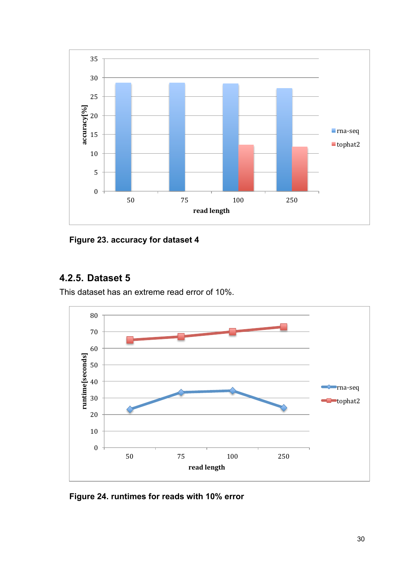

**Figure 23. accuracy for dataset 4**

#### **4.2.5. Dataset 5**

This dataset has an extreme read error of 10%.

![](_page_33_Figure_4.jpeg)

**Figure 24. runtimes for reads with 10% error**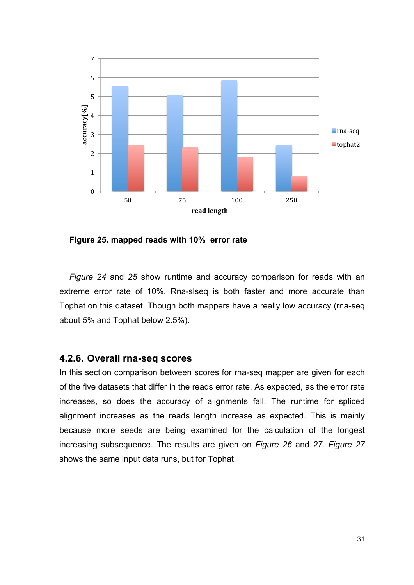![](_page_34_Figure_0.jpeg)

**Figure 25. mapped reads with 10% error rate**

*Figure 24* and *25* show runtime and accuracy comparison for reads with an extreme error rate of 10%. Rna-slseq is both faster and more accurate than Tophat on this dataset. Though both mappers have a really low accuracy (rna-seq about 5% and Tophat below 2.5%).

#### **4.2.6. Overall rna-seq scores**

In this section comparison between scores for rna-seq mapper are given for each of the five datasets that differ in the reads error rate. As expected, as the error rate increases, so does the accuracy of alignments fall. The runtime for spliced alignment increases as the reads length increase as expected. This is mainly because more seeds are being examined for the calculation of the longest increasing subsequence. The results are given on *Figure 26* and *27*. *Figure 27* shows the same input data runs, but for Tophat.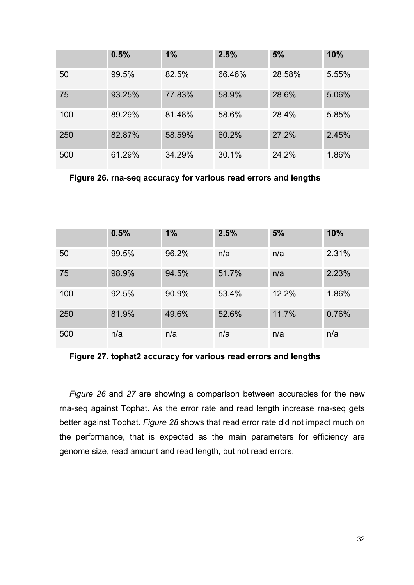|     | 0.5%   | 1%     | 2.5%   | 5%     | 10%   |
|-----|--------|--------|--------|--------|-------|
| 50  | 99.5%  | 82.5%  | 66.46% | 28.58% | 5.55% |
| 75  | 93.25% | 77.83% | 58.9%  | 28.6%  | 5.06% |
| 100 | 89.29% | 81.48% | 58.6%  | 28.4%  | 5.85% |
| 250 | 82.87% | 58.59% | 60.2%  | 27.2%  | 2.45% |
| 500 | 61.29% | 34.29% | 30.1%  | 24.2%  | 1.86% |

**Figure 26. rna-seq accuracy for various read errors and lengths**

|     | 0.5%  | 1%    | 2.5%  | 5%    | 10%   |
|-----|-------|-------|-------|-------|-------|
| 50  | 99.5% | 96.2% | n/a   | n/a   | 2.31% |
| 75  | 98.9% | 94.5% | 51.7% | n/a   | 2.23% |
| 100 | 92.5% | 90.9% | 53.4% | 12.2% | 1.86% |
| 250 | 81.9% | 49.6% | 52.6% | 11.7% | 0.76% |
| 500 | n/a   | n/a   | n/a   | n/a   | n/a   |

**Figure 27. tophat2 accuracy for various read errors and lengths**

*Figure 26* and *27* are showing a comparison between accuracies for the new rna-seq against Tophat. As the error rate and read length increase rna-seq gets better against Tophat. *Figure 28* shows that read error rate did not impact much on the performance, that is expected as the main parameters for efficiency are genome size, read amount and read length, but not read errors.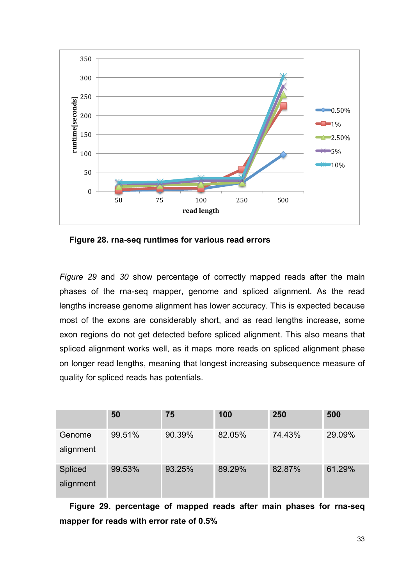![](_page_36_Figure_0.jpeg)

**Figure 28. rna-seq runtimes for various read errors**

*Figure 29* and *30* show percentage of correctly mapped reads after the main phases of the rna-seq mapper, genome and spliced alignment. As the read lengths increase genome alignment has lower accuracy. This is expected because most of the exons are considerably short, and as read lengths increase, some exon regions do not get detected before spliced alignment. This also means that spliced alignment works well, as it maps more reads on spliced alignment phase on longer read lengths, meaning that longest increasing subsequence measure of quality for spliced reads has potentials.

|                | 50     | 75     | 100    | 250    | 500    |
|----------------|--------|--------|--------|--------|--------|
| Genome         | 99.51% | 90.39% | 82.05% | 74.43% | 29.09% |
| alignment      |        |        |        |        |        |
| <b>Spliced</b> | 99.53% | 93.25% | 89.29% | 82.87% | 61.29% |
| alignment      |        |        |        |        |        |

**Figure 29. percentage of mapped reads after main phases for rna-seq mapper for reads with error rate of 0.5%**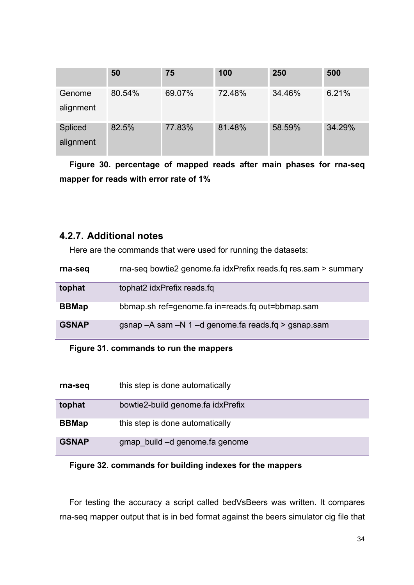|           | 50     | 75     | 100    | 250    | 500    |
|-----------|--------|--------|--------|--------|--------|
| Genome    | 80.54% | 69.07% | 72.48% | 34.46% | 6.21%  |
| alignment |        |        |        |        |        |
| Spliced   | 82.5%  | 77.83% | 81.48% | 58.59% | 34.29% |
| alignment |        |        |        |        |        |

**Figure 30. percentage of mapped reads after main phases for rna-seq mapper for reads with error rate of 1%**

#### **4.2.7. Additional notes**

Here are the commands that were used for running the datasets:

| rna-seq      | rna-seq bowtie2 genome.fa idxPrefix reads.fq res.sam > summary |
|--------------|----------------------------------------------------------------|
| tophat       | tophat2 idxPrefix reads fq                                     |
| <b>BBMap</b> | bbmap.sh ref=genome.fa in=reads.fg out=bbmap.sam               |
| <b>GSNAP</b> | gsnap - A sam - N 1 - d genome fa reads fq > gsnap sam         |

#### **Figure 31. commands to run the mappers**

| rna-seq      | this step is done automatically   |
|--------------|-----------------------------------|
| tophat       | bowtie2-build genome fa idxPrefix |
| <b>BBMap</b> | this step is done automatically   |
| <b>GSNAP</b> | gmap build -d genome fa genome    |

#### **Figure 32. commands for building indexes for the mappers**

For testing the accuracy a script called bedVsBeers was written. It compares rna-seq mapper output that is in bed format against the beers simulator cig file that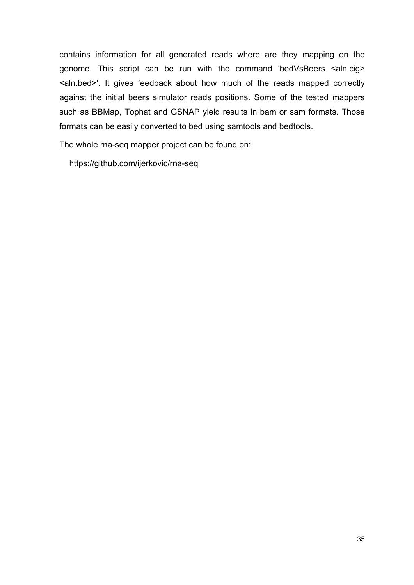contains information for all generated reads where are they mapping on the genome. This script can be run with the command 'bedVsBeers <aln.cig> <aln.bed>'. It gives feedback about how much of the reads mapped correctly against the initial beers simulator reads positions. Some of the tested mappers such as BBMap, Tophat and GSNAP yield results in bam or sam formats. Those formats can be easily converted to bed using samtools and bedtools.

The whole rna-seq mapper project can be found on:

https://github.com/ijerkovic/rna-seq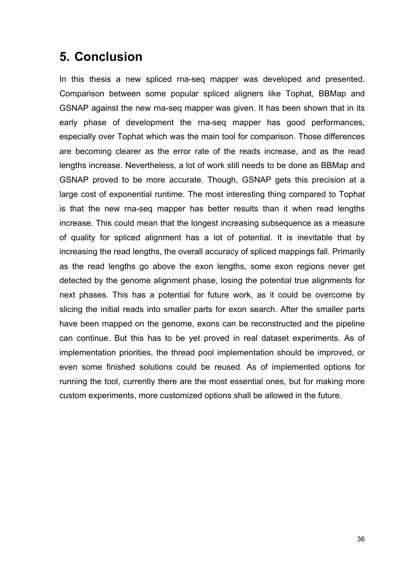# **5. Conclusion**

In this thesis a new spliced rna-seq mapper was developed and presented. Comparison between some popular spliced aligners like Tophat, BBMap and GSNAP against the new rna-seq mapper was given. It has been shown that in its early phase of development the rna-seq mapper has good performances, especially over Tophat which was the main tool for comparison. Those differences are becoming clearer as the error rate of the reads increase, and as the read lengths increase. Nevertheless, a lot of work still needs to be done as BBMap and GSNAP proved to be more accurate. Though, GSNAP gets this precision at a large cost of exponential runtime. The most interesting thing compared to Tophat is that the new rna-seq mapper has better results than it when read lengths increase. This could mean that the longest increasing subsequence as a measure of quality for spliced alignment has a lot of potential. It is inevitable that by increasing the read lengths, the overall accuracy of spliced mappings fall. Primarily as the read lengths go above the exon lengths, some exon regions never get detected by the genome alignment phase, losing the potential true alignments for next phases. This has a potential for future work, as it could be overcome by slicing the initial reads into smaller parts for exon search. After the smaller parts have been mapped on the genome, exons can be reconstructed and the pipeline can continue. But this has to be yet proved in real dataset experiments. As of implementation priorities, the thread pool implementation should be improved, or even some finished solutions could be reused. As of implemented options for running the tool, currently there are the most essential ones, but for making more custom experiments, more customized options shall be allowed in the future.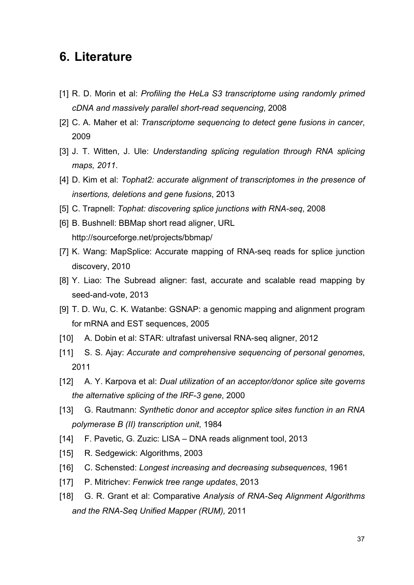### **6. Literature**

- [1] R. D. Morin et al: *Profiling the HeLa S3 transcriptome using randomly primed cDNA and massively parallel short-read sequencing*, 2008
- [2] C. A. Maher et al: *Transcriptome sequencing to detect gene fusions in cancer*, 2009
- [3] J. T. Witten, J. Ule: *Understanding splicing regulation through RNA splicing maps, 2011*.
- [4] D. Kim et al: *Tophat2: accurate alignment of transcriptomes in the presence of insertions, deletions and gene fusions*, 2013
- [5] C. Trapnell: *Tophat: discovering splice junctions with RNA-seq*, 2008
- [6] B. Bushnell: BBMap short read aligner, URL http://sourceforge.net/projects/bbmap/
- [7] K. Wang: MapSplice: Accurate mapping of RNA-seq reads for splice junction discovery, 2010
- [8] Y. Liao: The Subread aligner: fast, accurate and scalable read mapping by seed-and-vote, 2013
- [9] T. D. Wu, C. K. Watanbe: GSNAP: a genomic mapping and alignment program for mRNA and EST sequences, 2005
- [10] A. Dobin et al: STAR: ultrafast universal RNA-seq aligner, 2012
- [11] S. S. Ajay: *Accurate and comprehensive sequencing of personal genomes*, 2011
- [12] A. Y. Karpova et al: *Dual utilization of an acceptor/donor splice site governs the alternative splicing of the IRF-3 gene*, 2000
- [13] G. Rautmann: Synthetic donor and acceptor splice sites function in an RNA *polymerase B (II) transcription unit*, 1984
- [14] F. Pavetic, G. Zuzic: LISA DNA reads alignment tool, 2013
- [15] R. Sedgewick: Algorithms, 2003
- [16] C. Schensted: *Longest increasing and decreasing subsequences*, 1961
- [17] P. Mitrichev: *Fenwick tree range updates*, 2013
- [18] G. R. Grant et al: Comparative *Analysis of RNA-Seq Alignment Algorithms and the RNA-Seq Unified Mapper (RUM),* 2011